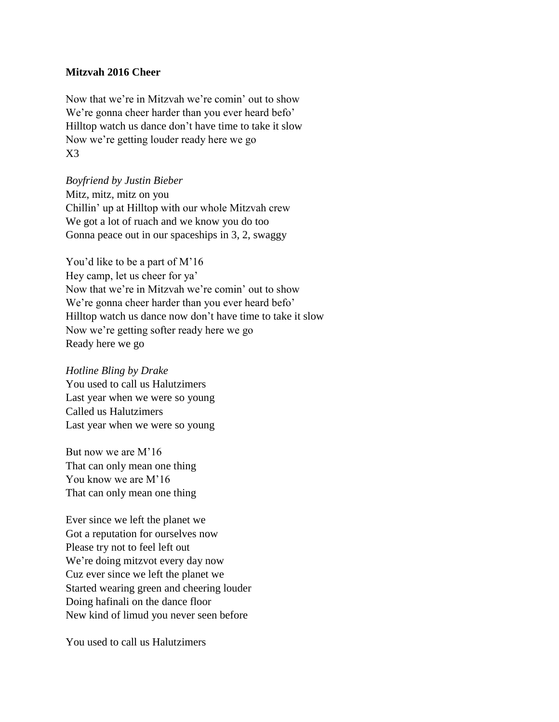## **Mitzvah 2016 Cheer**

Now that we're in Mitzvah we're comin' out to show We're gonna cheer harder than you ever heard befo' Hilltop watch us dance don't have time to take it slow Now we're getting louder ready here we go X3

*Boyfriend by Justin Bieber* Mitz, mitz, mitz on you Chillin' up at Hilltop with our whole Mitzvah crew We got a lot of ruach and we know you do too Gonna peace out in our spaceships in 3, 2, swaggy

You'd like to be a part of M'16 Hey camp, let us cheer for ya' Now that we're in Mitzvah we're comin' out to show We're gonna cheer harder than you ever heard befo' Hilltop watch us dance now don't have time to take it slow Now we're getting softer ready here we go Ready here we go

*Hotline Bling by Drake* You used to call us Halutzimers Last year when we were so young Called us Halutzimers Last year when we were so young

But now we are M'16 That can only mean one thing You know we are M'16 That can only mean one thing

Ever since we left the planet we Got a reputation for ourselves now Please try not to feel left out We're doing mitzvot every day now Cuz ever since we left the planet we Started wearing green and cheering louder Doing hafinali on the dance floor New kind of limud you never seen before

You used to call us Halutzimers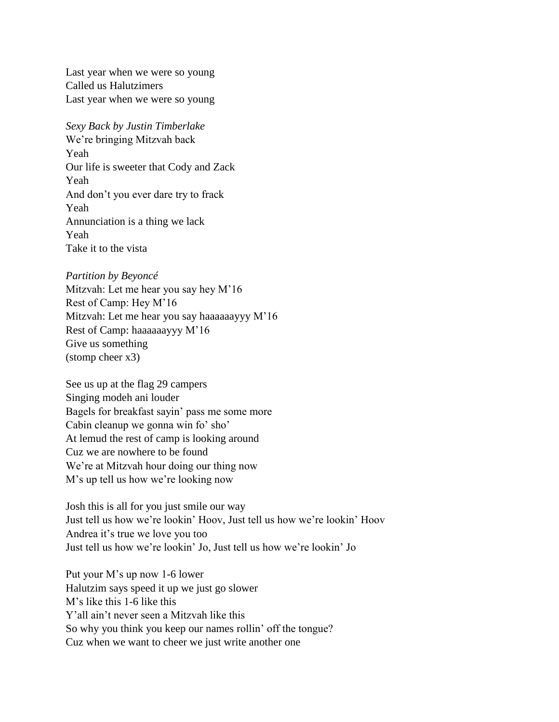Last year when we were so young Called us Halutzimers Last year when we were so young

## *Sexy Back by Justin Timberlake* We're bringing Mitzvah back Yeah Our life is sweeter that Cody and Zack

Yeah And don't you ever dare try to frack Yeah Annunciation is a thing we lack Yeah Take it to the vista

## *Partition by Beyoncé*

Mitzvah: Let me hear you say hey M'16 Rest of Camp: Hey M'16 Mitzvah: Let me hear you say haaaaaayyy M'16 Rest of Camp: haaaaaayyy M'16 Give us something (stomp cheer x3)

See us up at the flag 29 campers Singing modeh ani louder Bagels for breakfast sayin' pass me some more Cabin cleanup we gonna win fo' sho' At lemud the rest of camp is looking around Cuz we are nowhere to be found We're at Mitzvah hour doing our thing now M's up tell us how we're looking now

Josh this is all for you just smile our way Just tell us how we're lookin' Hoov, Just tell us how we're lookin' Hoov Andrea it's true we love you too Just tell us how we're lookin' Jo, Just tell us how we're lookin' Jo

Put your M's up now 1-6 lower Halutzim says speed it up we just go slower M's like this 1-6 like this Y'all ain't never seen a Mitzvah like this So why you think you keep our names rollin' off the tongue? Cuz when we want to cheer we just write another one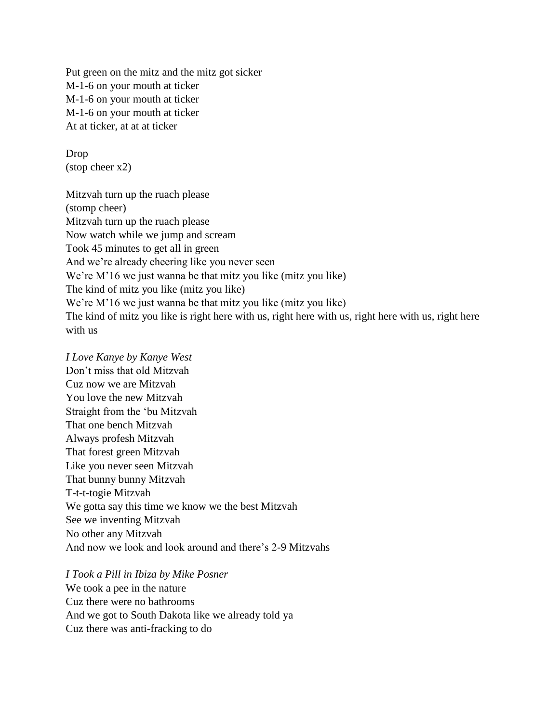Put green on the mitz and the mitz got sicker M-1-6 on your mouth at ticker M-1-6 on your mouth at ticker M-1-6 on your mouth at ticker At at ticker, at at at ticker

Drop (stop cheer x2)

Mitzvah turn up the ruach please (stomp cheer) Mitzvah turn up the ruach please Now watch while we jump and scream Took 45 minutes to get all in green And we're already cheering like you never seen We're M'16 we just wanna be that mitz you like (mitz you like) The kind of mitz you like (mitz you like) We're M'16 we just wanna be that mitz you like (mitz you like) The kind of mitz you like is right here with us, right here with us, right here with us, right here with us

*I Love Kanye by Kanye West* Don't miss that old Mitzvah Cuz now we are Mitzvah You love the new Mitzvah Straight from the 'bu Mitzvah That one bench Mitzvah Always profesh Mitzvah That forest green Mitzvah Like you never seen Mitzvah That bunny bunny Mitzvah T-t-t-togie Mitzvah We gotta say this time we know we the best Mitzvah See we inventing Mitzvah No other any Mitzvah And now we look and look around and there's 2-9 Mitzvahs

*I Took a Pill in Ibiza by Mike Posner* We took a pee in the nature Cuz there were no bathrooms And we got to South Dakota like we already told ya Cuz there was anti-fracking to do